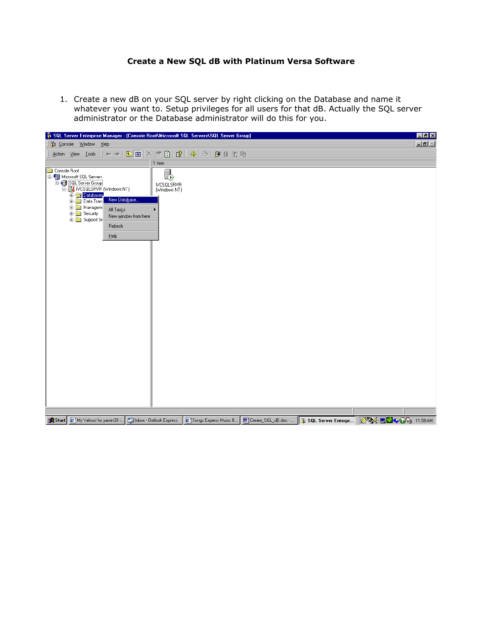## **Create a New SQL dB with Platinum Versa Software**

1. Create a new dB on your SQL server by right clicking on the Database and name it whatever you want to. Setup privileges for all users for that dB. Actually the SQL server administrator or the Database administrator will do this for you.

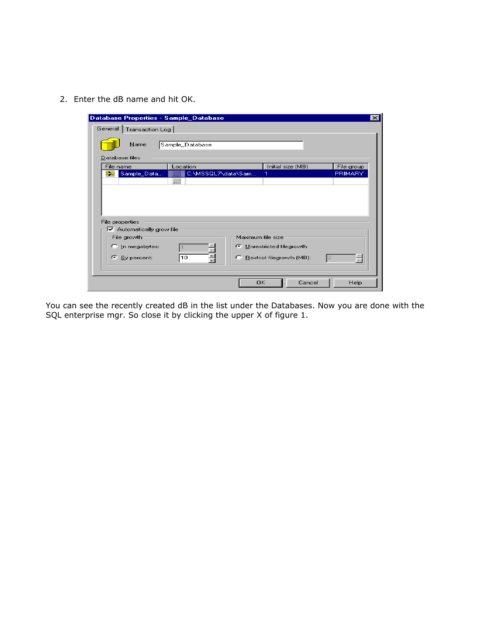2. Enter the dB name and hit OK.

| Database Properties - Sample_Database |                    |                             |        | $\vert x \vert$ |
|---------------------------------------|--------------------|-----------------------------|--------|-----------------|
| General   Transaction Log             |                    |                             |        |                 |
| Name:                                 | Sample_Database    |                             |        |                 |
| Database files                        |                    |                             |        |                 |
| File name                             | Location           | Initial size (MB)           |        | File group      |
| Sample_Data<br>Œ— m                   | C:\MSSQL7\data\Sam |                             |        | PRIMARY         |
|                                       | $\cdots$           |                             |        |                 |
|                                       |                    |                             |        |                 |
|                                       |                    |                             |        |                 |
|                                       |                    |                             |        |                 |
|                                       |                    |                             |        |                 |
| File properties                       |                    |                             |        |                 |
| $\nabla$ Automatically grow file      |                    | Maximum file size           |        |                 |
| File growth:                          |                    |                             |        |                 |
| $\bigcap$ In megabytes:               |                    | ← Unrestricted filegrowth   |        |                 |
| œ.<br>By percent:                     | 10                 | E Restrict filegrowth (MB): |        |                 |
|                                       |                    |                             |        |                 |
|                                       |                    |                             |        |                 |
|                                       |                    | OK                          | Cancel | Help            |

You can see the recently created dB in the list under the Databases. Now you are done with the SQL enterprise mgr. So close it by clicking the upper X of figure 1.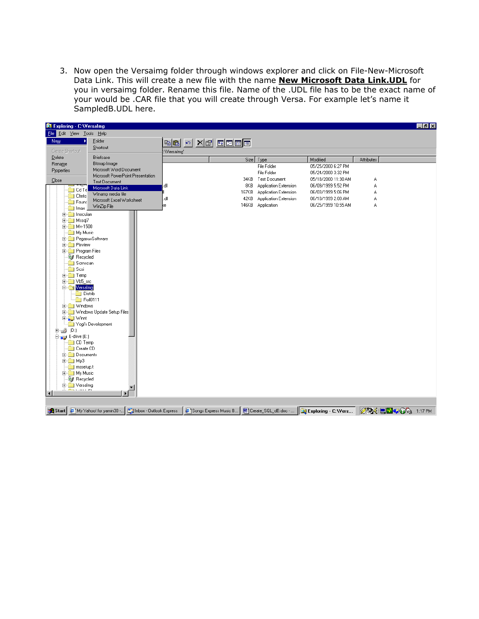3. Now open the Versaimg folder through windows explorer and click on File-New-Microsoft Data Link. This will create a new file with the name **New Microsoft Data Link.UDL** for you in versaimg folder. Rename this file. Name of the .UDL file has to be the exact name of your would be .CAR file that you will create through Versa. For example let's name it SampledB.UDL here.

| 网 Exploring - C: Wersalmg                    |                                              |                             |                       |                              |                              |            | $ F$ $x$                 |
|----------------------------------------------|----------------------------------------------|-----------------------------|-----------------------|------------------------------|------------------------------|------------|--------------------------|
| File Edit View Tools Help                    |                                              |                             |                       |                              |                              |            |                          |
| New                                          | Eolder                                       | <b>ba</b> <u>de xe de e</u> |                       |                              |                              |            |                          |
| Create Shortcut                              | Shortcut                                     | :\Versalmg'                 |                       |                              |                              |            |                          |
| Delete                                       | Briefcase                                    |                             |                       | Size Type                    | Modified                     | Attributes |                          |
| Rename                                       | Bitmap Image                                 |                             |                       | File Folder                  | 05/25/2000 6:27 PM           |            |                          |
| Properties                                   | Microsoft Word Document                      |                             |                       | File Folder                  | 05/24/2000 3:32 PM           |            |                          |
| Close                                        | Microsoft PowerPoint Presentation            |                             |                       | 34KB Text Document           | 05/18/2000 11:30 AM          | А          |                          |
|                                              | Text Document<br>Microsoft Data Link         | dll                         | 8KB                   | <b>Application Extension</b> | 06/09/1999 5:52 PM           | A          |                          |
| $\Box$ Cd Te                                 | Winamp media file                            |                             | 167KB                 | Application Extension        | 06/03/1999 5:06 PM           | А          |                          |
| <b>C</b> Cfmto<br>Found                      | Microsoft Excel Worksheet                    | llb.                        | 42KB                  | Application Extension        | 06/10/1999 2:00 AM           | А          |                          |
| Imax                                         | WinZip File                                  | ķe                          | 146KB                 | Application                  | 06/25/1999 10:55 AM          | А          |                          |
| 由 Inoculan                                   |                                              |                             |                       |                              |                              |            |                          |
| 由 Mssql7                                     |                                              |                             |                       |                              |                              |            |                          |
| 由 Mv-1500                                    |                                              |                             |                       |                              |                              |            |                          |
| My Music                                     |                                              |                             |                       |                              |                              |            |                          |
| <b>E-</b> PegasusSoftware                    |                                              |                             |                       |                              |                              |            |                          |
| <b>E-C</b> Pixview<br><b>E</b> Program Files |                                              |                             |                       |                              |                              |            |                          |
| <b>N</b> Recycled                            |                                              |                             |                       |                              |                              |            |                          |
| Scrnscan                                     |                                              |                             |                       |                              |                              |            |                          |
| - ⊟i Scsi                                    |                                              |                             |                       |                              |                              |            |                          |
| <b>E-C</b> Temp                              |                                              |                             |                       |                              |                              |            |                          |
| E Ub5 src                                    |                                              |                             |                       |                              |                              |            |                          |
| <b>E</b> Versalmg                            |                                              |                             |                       |                              |                              |            |                          |
| <b>Distrib</b>                               |                                              |                             |                       |                              |                              |            |                          |
| $F =$ Roll0111<br>E-C Windows                |                                              |                             |                       |                              |                              |            |                          |
|                                              | <b>E-Computer</b> Windows Update Setup Files |                             |                       |                              |                              |            |                          |
| 由   Winnt                                    |                                              |                             |                       |                              |                              |            |                          |
|                                              | Yogi's Development                           |                             |                       |                              |                              |            |                          |
| 由 <i>- 9</i> (D:)                            |                                              |                             |                       |                              |                              |            |                          |
| 白 Le drive (E:)                              |                                              |                             |                       |                              |                              |            |                          |
| <b>CD</b> Temp                               |                                              |                             |                       |                              |                              |            |                          |
| Create CD<br><b>E</b> Documents              |                                              |                             |                       |                              |                              |            |                          |
| ⊞ □ Mp3                                      |                                              |                             |                       |                              |                              |            |                          |
| $\blacksquare$ mssetup.t                     |                                              |                             |                       |                              |                              |            |                          |
| E-My Music                                   |                                              |                             |                       |                              |                              |            |                          |
| <b>C</b> Recycled                            |                                              |                             |                       |                              |                              |            |                          |
| E-C Versalmg<br>ومنتبذ فتناسخ                | ▼                                            |                             |                       |                              |                              |            |                          |
| $\blacksquare$                               |                                              |                             |                       |                              |                              |            |                          |
|                                              |                                              |                             |                       |                              |                              |            |                          |
| Start   B My Yahoo! for yamin30              | Filmbox - Outlook Express                    |                             | Songs Express Music B | Create_SQL_dB.doc -          | <b>D</b> Exploring - C: Wers |            | <b>ØØ (回口学の)</b> 1:17 PM |
|                                              |                                              |                             |                       |                              |                              |            |                          |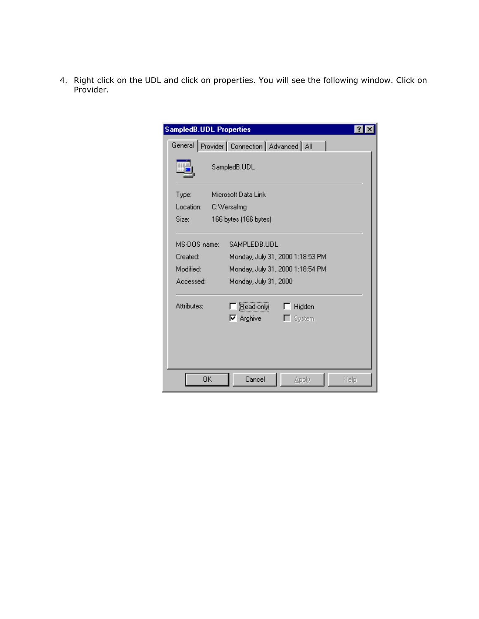4. Right click on the UDL and click on properties. You will see the following window. Click on Provider.

| <b>SampledB.UDL Properties</b> |                                                   |  |  |  |
|--------------------------------|---------------------------------------------------|--|--|--|
|                                | General Provider   Connection   Advanced   All    |  |  |  |
|                                | SampledB.UDL                                      |  |  |  |
| Type:                          | Microsoft Data Link                               |  |  |  |
| Location:                      | C:\Versalmg                                       |  |  |  |
| Size:                          | 166 bytes (166 bytes)                             |  |  |  |
| MS-DOS name:                   | SAMPLEDB.UDL                                      |  |  |  |
| Created:                       | Monday, July 31, 2000 1:18:53 PM                  |  |  |  |
| Modified:                      | Monday, July 31, 2000 1:18:54 PM                  |  |  |  |
| Accessed:                      | Monday, July 31, 2000                             |  |  |  |
| Attributes:                    | Bead-only<br>Hidden<br>$\nabla$ Archive<br>System |  |  |  |
|                                |                                                   |  |  |  |
| 0K                             | Cancel<br>Apply<br>Help                           |  |  |  |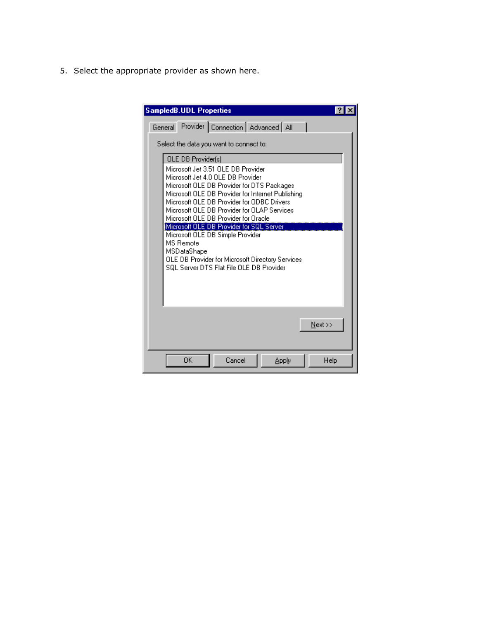5. Select the appropriate provider as shown here.

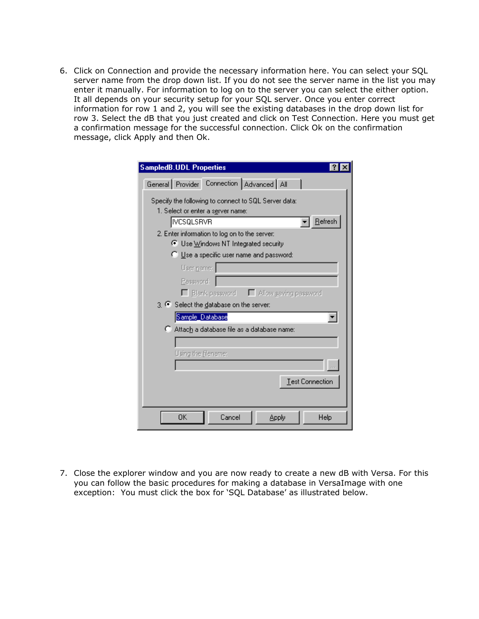6. Click on Connection and provide the necessary information here. You can select your SQL server name from the drop down list. If you do not see the server name in the list you may enter it manually. For information to log on to the server you can select the either option. It all depends on your security setup for your SQL server. Once you enter correct information for row 1 and 2, you will see the existing databases in the drop down list for row 3. Select the dB that you just created and click on Test Connection. Here you must get a confirmation message for the successful connection. Click Ok on the confirmation message, click Apply and then Ok.

| <b>SampledB.UDL Properties</b>                                                            |  |  |  |  |
|-------------------------------------------------------------------------------------------|--|--|--|--|
| General Provider Connection Advanced All                                                  |  |  |  |  |
| Specify the following to connect to SQL Server data:<br>1. Select or enter a server name: |  |  |  |  |
| $B$ efresh<br> IVCSQLSRVR                                                                 |  |  |  |  |
| 2. Enter information to log on to the server:<br>● Use Windows NT Integrated security     |  |  |  |  |
| C Use a specific user name and password:                                                  |  |  |  |  |
| User name:                                                                                |  |  |  |  |
| Password:                                                                                 |  |  |  |  |
| □ Blank password □ Allow saving password                                                  |  |  |  |  |
| 3. C Select the database on the server:                                                   |  |  |  |  |
| Sample_Database<br>C Attach a database file as a database name:                           |  |  |  |  |
|                                                                                           |  |  |  |  |
| Using the filename:                                                                       |  |  |  |  |
|                                                                                           |  |  |  |  |
| Test Connection                                                                           |  |  |  |  |
| ΟK<br>Cancel<br>Apply<br>Help                                                             |  |  |  |  |

7. Close the explorer window and you are now ready to create a new dB with Versa. For this you can follow the basic procedures for making a database in VersaImage with one exception: You must click the box for 'SQL Database' as illustrated below.